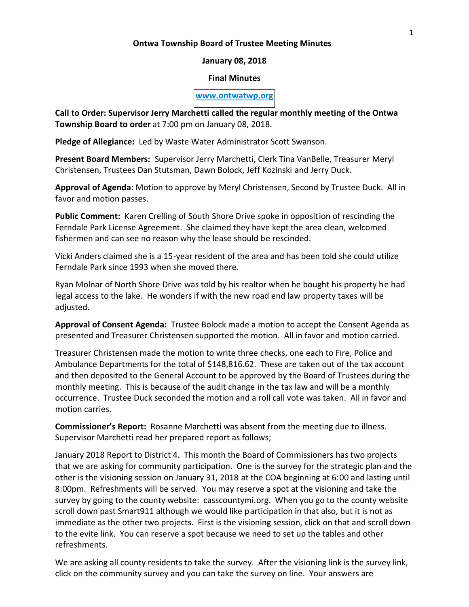### **Ontwa Township Board of Trustee Meeting Minutes**

## **January 08, 2018**

### **Final Minutes**

#### **[www.ontwatwp.org](http://www.ontwatwp.org/)**

**Call to Order: Supervisor Jerry Marchetti called the regular monthly meeting of the Ontwa Township Board to order** at 7:00 pm on January 08, 2018.

**Pledge of Allegiance:** Led by Waste Water Administrator Scott Swanson.

**Present Board Members:** Supervisor Jerry Marchetti, Clerk Tina VanBelle, Treasurer Meryl Christensen, Trustees Dan Stutsman, Dawn Bolock, Jeff Kozinski and Jerry Duck.

**Approval of Agenda:** Motion to approve by Meryl Christensen, Second by Trustee Duck. All in favor and motion passes.

**Public Comment:** Karen Crelling of South Shore Drive spoke in opposition of rescinding the Ferndale Park License Agreement. She claimed they have kept the area clean, welcomed fishermen and can see no reason why the lease should be rescinded.

Vicki Anders claimed she is a 15-year resident of the area and has been told she could utilize Ferndale Park since 1993 when she moved there.

Ryan Molnar of North Shore Drive was told by his realtor when he bought his property he had legal access to the lake. He wonders if with the new road end law property taxes will be adjusted.

**Approval of Consent Agenda:** Trustee Bolock made a motion to accept the Consent Agenda as presented and Treasurer Christensen supported the motion. All in favor and motion carried.

Treasurer Christensen made the motion to write three checks, one each to Fire, Police and Ambulance Departments for the total of \$148,816.62. These are taken out of the tax account and then deposited to the General Account to be approved by the Board of Trustees during the monthly meeting. This is because of the audit change in the tax law and will be a monthly occurrence. Trustee Duck seconded the motion and a roll call vote was taken. All in favor and motion carries.

**Commissioner's Report:** Rosanne Marchetti was absent from the meeting due to illness. Supervisor Marchetti read her prepared report as follows;

January 2018 Report to District 4. This month the Board of Commissioners has two projects that we are asking for community participation. One is the survey for the strategic plan and the other is the visioning session on January 31, 2018 at the COA beginning at 6:00 and lasting until 8:00pm. Refreshments will be served. You may reserve a spot at the visioning and take the survey by going to the county website: casscountymi.org. When you go to the county website scroll down past Smart911 although we would like participation in that also, but it is not as immediate as the other two projects. First is the visioning session, click on that and scroll down to the evite link. You can reserve a spot because we need to set up the tables and other refreshments.

We are asking all county residents to take the survey. After the visioning link is the survey link, click on the community survey and you can take the survey on line. Your answers are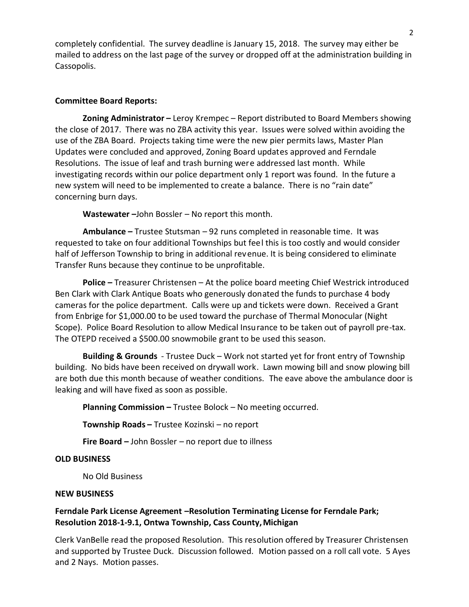completely confidential. The survey deadline is January 15, 2018. The survey may either be mailed to address on the last page of the survey or dropped off at the administration building in Cassopolis.

## **Committee Board Reports:**

**Zoning Administrator** – Leroy Krempec – Report distributed to Board Members showing the close of 2017. There was no ZBA activity this year. Issues were solved within avoiding the use of the ZBA Board. Projects taking time were the new pier permits laws, Master Plan Updates were concluded and approved, Zoning Board updates approved and Ferndale Resolutions. The issue of leaf and trash burning were addressed last month. While investigating records within our police department only 1 report was found. In the future a new system will need to be implemented to create a balance. There is no "rain date" concerning burn days.

Wastewater -John Bossler - No report this month.

Ambulance - Trustee Stutsman - 92 runs completed in reasonable time. It was requested to take on four additional Townships but feel this is too costly and would consider half of Jefferson Township to bring in additional revenue. It is being considered to eliminate Transfer Runs because they continue to be unprofitable.

**Police - Treasurer Christensen - At the police board meeting Chief Westrick introduced** Ben Clark with Clark Antique Boats who generously donated the funds to purchase 4 body cameras for the police department. Calls were up and tickets were down. Received a Grant from Enbrige for \$1,000.00 to be used toward the purchase of Thermal Monocular (Night Scope). Police Board Resolution to allow Medical Insurance to be taken out of payroll pre-tax. The OTEPD received a \$500.00 snowmobile grant to be used this season.

**Building & Grounds** - Trustee Duck – Work not started yet for front entry of Township building. No bids have been received on drywall work. Lawn mowing bill and snow plowing bill are both due this month because of weather conditions. The eave above the ambulance door is leaking and will have fixed as soon as possible.

**Planning Commission - Trustee Bolock - No meeting occurred.** 

**Township Roads - Trustee Kozinski - no report** 

**Fire Board - John Bossler - no report due to illness** 

### **OLD BUSINESS**

No Old Business

## **NEW BUSINESS**

# **Ferndale Park License Agreement -- Resolution Terminating License for Ferndale Park; Resolution 2018-1-9.1, Ontwa Township, Cass County, Michigan**

Clerk VanBelle read the proposed Resolution. This resolution offered by Treasurer Christensen and supported by Trustee Duck. Discussion followed. Motion passed on a roll call vote. 5 Ayes and 2 Nays. Motion passes.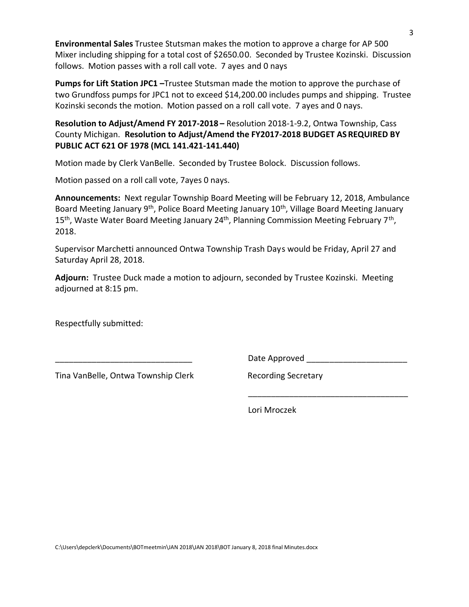**Environmental Sales** Trustee Stutsman makes the motion to approve a charge for AP 500 Mixer including shipping for a total cost of \$2650.00. Seconded by Trustee Kozinski. Discussion follows. Motion passes with a roll call vote. 7 ayes and 0 nays

**Pumps for Lift Station JPC1** -Trustee Stutsman made the motion to approve the purchase of two Grundfoss pumps for JPC1 not to exceed \$14,200.00 includes pumps and shipping. Trustee Kozinski seconds the motion. Motion passed on a roll call vote. 7 ayes and 0 nays.

**Resolution to Adjust/Amend FY 2017-2018 - Resolution 2018-1-9.2, Ontwa Township, Cass** County Michigan. **Resolution to Adjust/Amend the FY2017-2018 BUDGET AS REQUIRED BY PUBLIC ACT 621 OF 1978 (MCL 141.421-141.440)** 

Motion made by Clerk VanBelle. Seconded by Trustee Bolock. Discussion follows.

Motion passed on a roll call vote, 7ayes 0 nays.

**Announcements:** Next regular Township Board Meeting will be February 12, 2018, Ambulance Board Meeting January 9<sup>th</sup>, Police Board Meeting January 10<sup>th</sup>, Village Board Meeting January 15<sup>th</sup>, Waste Water Board Meeting January 24<sup>th</sup>, Planning Commission Meeting February 7<sup>th</sup>, 2018.

Supervisor Marchetti announced Ontwa Township Trash Days would be Friday, April 27 and Saturday April 28, 2018.

**Adjourn:** Trustee Duck made a motion to adjourn, seconded by Trustee Kozinski. Meeting adjourned at 8:15 pm.

 $\overline{\phantom{a}}$  , and the contract of the contract of the contract of the contract of the contract of the contract of the contract of the contract of the contract of the contract of the contract of the contract of the contrac

Respectfully submitted:

Tina VanBelle, Ontwa Township Clerk Recording Secretary

Date Approved **Example 20** 

Lori Mroczek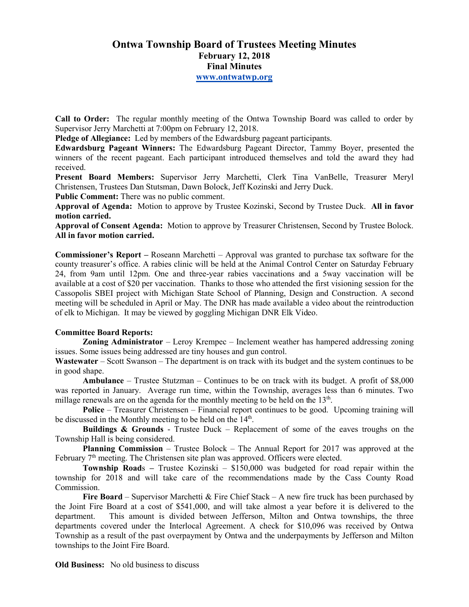# **Ontwa Township Board of Trustees Meeting Minutes February 12, 2018 Final Minutes www.ontwatwp.org**

**Call to Order:** The regular monthly meeting of the Ontwa Township Board was called to order by Supervisor Jerry Marchetti at 7:00pm on February 12, 2018.

**Pledge of Allegiance:** Led by members of the Edwardsburg pageant participants.

**Edwardsburg Pageant Winners:** The Edwardsburg Pageant Director, Tammy Boyer, presented the winners of the recent pageant. Each participant introduced themselves and told the award they had received.

**Present Board Members:** Supervisor Jerry Marchetti, Clerk Tina VanBelle, Treasurer Meryl Christensen, Trustees Dan Stutsman, Dawn Bolock, Jeff Kozinski and Jerry Duck.

**Public Comment:** There was no public comment.

**Approval of Agenda:** Motion to approve by Trustee Kozinski, Second by Trustee Duck. **All in favor motion carried.** 

**Approval of Consent Agenda:** Motion to approve by Treasurer Christensen, Second by Trustee Bolock. **All in favor motion carried.** 

**Commissioner's Report –** Roseann Marchetti – Approval was granted to purchase tax software for the county treasurer's office. A rabies clinic will be held at the Animal Control Center on Saturday February 24, from 9am until 12pm. One and three-year rabies vaccinations and a 5way vaccination will be available at a cost of \$20 per vaccination. Thanks to those who attended the first visioning session for the Cassopolis SBEI project with Michigan State School of Planning, Design and Construction. A second meeting will be scheduled in April or May. The DNR has made available a video about the reintroduction of elk to Michigan. It may be viewed by goggling Michigan DNR Elk Video.

### **Committee Board Reports:**

**Zoning Administrator** – Leroy Krempec – Inclement weather has hampered addressing zoning issues. Some issues being addressed are tiny houses and gun control.

**Wastewater** – Scott Swanson – The department is on track with its budget and the system continues to be in good shape.

**Ambulance** – Trustee Stutzman – Continues to be on track with its budget. A profit of \$8,000 was reported in January. Average run time, within the Township, averages less than 6 minutes. Two millage renewals are on the agenda for the monthly meeting to be held on the 13<sup>th</sup>.

**Police** – Treasurer Christensen – Financial report continues to be good. Upcoming training will be discussed in the Monthly meeting to be held on the 14<sup>th</sup>.

**Buildings & Grounds** - Trustee Duck – Replacement of some of the eaves troughs on the Township Hall is being considered.

**Planning Commission** – Trustee Bolock – The Annual Report for 2017 was approved at the February  $7<sup>th</sup>$  meeting. The Christensen site plan was approved. Officers were elected.

**Township Road**s **–** Trustee Kozinski – \$150,000 was budgeted for road repair within the township for 2018 and will take care of the recommendations made by the Cass County Road Commission.

**Fire Board** – Supervisor Marchetti & Fire Chief Stack – A new fire truck has been purchased by the Joint Fire Board at a cost of \$541,000, and will take almost a year before it is delivered to the department. This amount is divided between Jefferson, Milton and Ontwa townships, the three departments covered under the Interlocal Agreement. A check for \$10,096 was received by Ontwa Township as a result of the past overpayment by Ontwa and the underpayments by Jefferson and Milton townships to the Joint Fire Board.

**Old Business:** No old business to discuss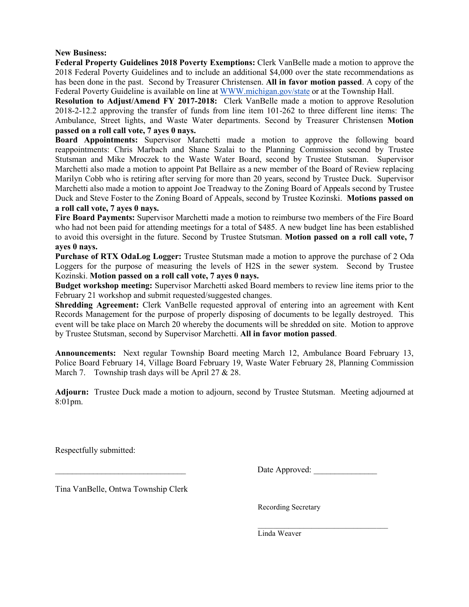### **New Business:**

**Federal Property Guidelines 2018 Poverty Exemptions:** Clerk VanBelle made a motion to approve the 2018 Federal Poverty Guidelines and to include an additional \$4,000 over the state recommendations as has been done in the past. Second by Treasurer Christensen. **All in favor motion passed**. A copy of the Federal Poverty Guideline is available on line at WWW.michigan.gov/state or at the Township Hall.

**Resolution to Adjust/Amend FY 2017-2018:** Clerk VanBelle made a motion to approve Resolution 2018-2-12.2 approving the transfer of funds from line item 101-262 to three different line items: The Ambulance, Street lights, and Waste Water departments. Second by Treasurer Christensen **Motion passed on a roll call vote, 7 ayes 0 nays.** 

**Board Appointments:** Supervisor Marchetti made a motion to approve the following board reappointments: Chris Marbach and Shane Szalai to the Planning Commission second by Trustee Stutsman and Mike Mroczek to the Waste Water Board, second by Trustee Stutsman. Supervisor Marchetti also made a motion to appoint Pat Bellaire as a new member of the Board of Review replacing Marilyn Cobb who is retiring after serving for more than 20 years, second by Trustee Duck. Supervisor Marchetti also made a motion to appoint Joe Treadway to the Zoning Board of Appeals second by Trustee Duck and Steve Foster to the Zoning Board of Appeals, second by Trustee Kozinski. **Motions passed on a roll call vote, 7 ayes 0 nays.** 

**Fire Board Payments:** Supervisor Marchetti made a motion to reimburse two members of the Fire Board who had not been paid for attending meetings for a total of \$485. A new budget line has been established to avoid this oversight in the future. Second by Trustee Stutsman. **Motion passed on a roll call vote, 7 ayes 0 nays.** 

**Purchase of RTX OdaLog Logger:** Trustee Stutsman made a motion to approve the purchase of 2 Oda Loggers for the purpose of measuring the levels of H2S in the sewer system. Second by Trustee Kozinski. **Motion passed on a roll call vote, 7 ayes 0 nays.** 

**Budget workshop meeting:** Supervisor Marchetti asked Board members to review line items prior to the February 21 workshop and submit requested/suggested changes.

**Shredding Agreement:** Clerk VanBelle requested approval of entering into an agreement with Kent Records Management for the purpose of properly disposing of documents to be legally destroyed. This event will be take place on March 20 whereby the documents will be shredded on site. Motion to approve by Trustee Stutsman, second by Supervisor Marchetti. **All in favor motion passed**.

**Announcements:** Next regular Township Board meeting March 12, Ambulance Board February 13, Police Board February 14, Village Board February 19, Waste Water February 28, Planning Commission March 7. Township trash days will be April 27 & 28.

**Adjourn:** Trustee Duck made a motion to adjourn, second by Trustee Stutsman. Meeting adjourned at 8:01pm.

Respectfully submitted:

\_\_\_\_\_\_\_\_\_\_\_\_\_\_\_\_\_\_\_\_\_\_\_\_\_\_\_\_\_\_\_ Date Approved: \_\_\_\_\_\_\_\_\_\_\_\_\_\_\_

Tina VanBelle, Ontwa Township Clerk

Recording Secretary

 $\mathcal{L}=\underbrace{\mathcal{L}=\mathcal{L}=\mathcal{L}=\mathcal{L}=\mathcal{L}=\mathcal{L}=\mathcal{L}=\mathcal{L}=\mathcal{L}=\mathcal{L}=\mathcal{L}=\mathcal{L}=\mathcal{L}=\mathcal{L}=\mathcal{L}=\mathcal{L}=\mathcal{L}=\mathcal{L}=\mathcal{L}=\mathcal{L}=\mathcal{L}=\mathcal{L}=\mathcal{L}=\mathcal{L}=\mathcal{L}=\mathcal{L}=\mathcal{L}=\mathcal{L}=\mathcal{L}=\mathcal{L}=\mathcal{L}=\mathcal{L}=\mathcal{L}=\mathcal{L}=\mathcal{L}=\$ Linda Weaver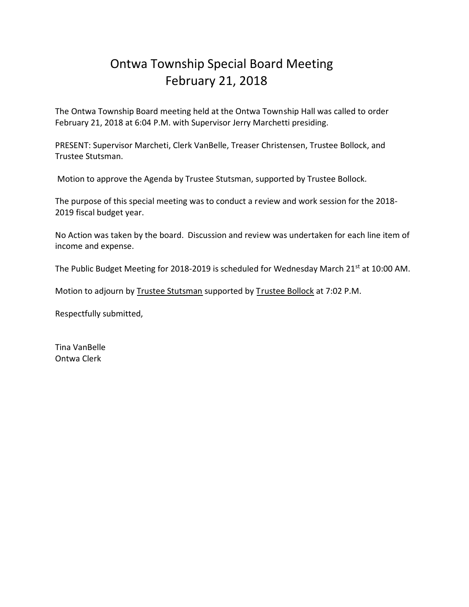# Ontwa Township Special Board Meeting February 21, 2018

The Ontwa Township Board meeting held at the Ontwa Township Hall was called to order February 21, 2018 at 6:04 P.M. with Supervisor Jerry Marchetti presiding.

PRESENT: Supervisor Marcheti, Clerk VanBelle, Treaser Christensen, Trustee Bollock, and Trustee Stutsman.

Motion to approve the Agenda by Trustee Stutsman, supported by Trustee Bollock.

The purpose of this special meeting was to conduct a review and work session for the 2018- 2019 fiscal budget year.

No Action was taken by the board. Discussion and review was undertaken for each line item of income and expense.

The Public Budget Meeting for 2018-2019 is scheduled for Wednesday March 21<sup>st</sup> at 10:00 AM.

Motion to adjourn by Trustee Stutsman supported by Trustee Bollock at 7:02 P.M.

Respectfully submitted,

Tina VanBelle Ontwa Clerk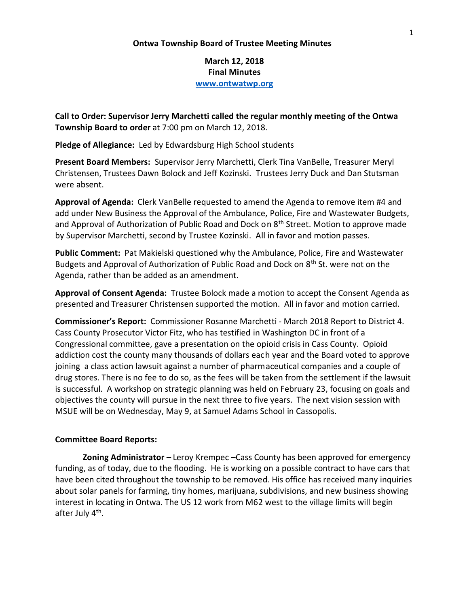### **Ontwa Township Board of Trustee Meeting Minutes**

**March 12, 2018 Final Minutes www.ontwatwp.org**

**Call to Order: Supervisor Jerry Marchetti called the regular monthly meeting of the Ontwa Township Board to order** at 7:00 pm on March 12, 2018.

**Pledge of Allegiance:** Led by Edwardsburg High School students

**Present Board Members:** Supervisor Jerry Marchetti, Clerk Tina VanBelle, Treasurer Meryl Christensen, Trustees Dawn Bolock and Jeff Kozinski. Trustees Jerry Duck and Dan Stutsman were absent.

**Approval of Agenda:** Clerk VanBelle requested to amend the Agenda to remove item #4 and add under New Business the Approval of the Ambulance, Police, Fire and Wastewater Budgets, and Approval of Authorization of Public Road and Dock on 8<sup>th</sup> Street. Motion to approve made by Supervisor Marchetti, second by Trustee Kozinski. All in favor and motion passes.

**Public Comment:** Pat Makielski questioned why the Ambulance, Police, Fire and Wastewater Budgets and Approval of Authorization of Public Road and Dock on  $8<sup>th</sup>$  St. were not on the Agenda, rather than be added as an amendment.

**Approval of Consent Agenda:** Trustee Bolock made a motion to accept the Consent Agenda as presented and Treasurer Christensen supported the motion. All in favor and motion carried.

**Commissioner's Report:** Commissioner Rosanne Marchetti - March 2018 Report to District 4. Cass County Prosecutor Victor Fitz, who has testified in Washington DC in front of a Congressional committee, gave a presentation on the opioid crisis in Cass County. Opioid addiction cost the county many thousands of dollars each year and the Board voted to approve joining a class action lawsuit against a number of pharmaceutical companies and a couple of drug stores. There is no fee to do so, as the fees will be taken from the settlement if the lawsuit is successful. A workshop on strategic planning was held on February 23, focusing on goals and objectives the county will pursue in the next three to five years. The next vision session with MSUE will be on Wednesday, May 9, at Samuel Adams School in Cassopolis.

### **Committee Board Reports:**

**Zoning Administrator –** Leroy Krempec –Cass County has been approved for emergency funding, as of today, due to the flooding. He is working on a possible contract to have cars that have been cited throughout the township to be removed. His office has received many inquiries about solar panels for farming, tiny homes, marijuana, subdivisions, and new business showing interest in locating in Ontwa. The US 12 work from M62 west to the village limits will begin after July 4<sup>th</sup>.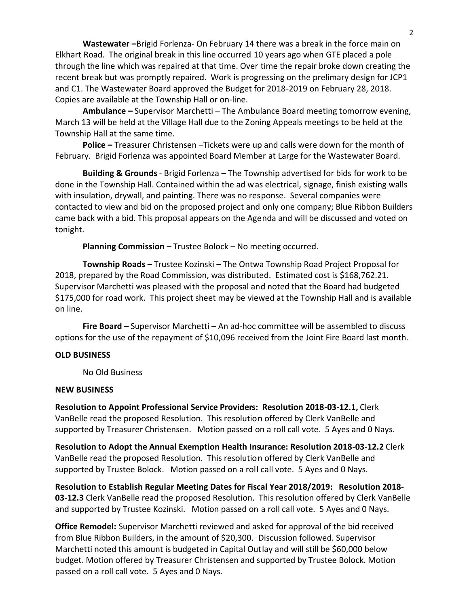**Wastewater –**Brigid Forlenza- On February 14 there was a break in the force main on Elkhart Road. The original break in this line occurred 10 years ago when GTE placed a pole through the line which was repaired at that time. Over time the repair broke down creating the recent break but was promptly repaired. Work is progressing on the prelimary design for JCP1 and C1. The Wastewater Board approved the Budget for 2018-2019 on February 28, 2018. Copies are available at the Township Hall or on-line.

**Ambulance –** Supervisor Marchetti – The Ambulance Board meeting tomorrow evening, March 13 will be held at the Village Hall due to the Zoning Appeals meetings to be held at the Township Hall at the same time.

**Police –** Treasurer Christensen –Tickets were up and calls were down for the month of February. Brigid Forlenza was appointed Board Member at Large for the Wastewater Board.

**Building & Grounds** - Brigid Forlenza – The Township advertised for bids for work to be done in the Township Hall. Contained within the ad was electrical, signage, finish existing walls with insulation, drywall, and painting. There was no response. Several companies were contacted to view and bid on the proposed project and only one company; Blue Ribbon Builders came back with a bid. This proposal appears on the Agenda and will be discussed and voted on tonight.

**Planning Commission –** Trustee Bolock – No meeting occurred.

 **Township Roads –** Trustee Kozinski – The Ontwa Township Road Project Proposal for 2018, prepared by the Road Commission, was distributed. Estimated cost is \$168,762.21. Supervisor Marchetti was pleased with the proposal and noted that the Board had budgeted \$175,000 for road work. This project sheet may be viewed at the Township Hall and is available on line.

**Fire Board –** Supervisor Marchetti – An ad-hoc committee will be assembled to discuss options for the use of the repayment of \$10,096 received from the Joint Fire Board last month.

### **OLD BUSINESS**

No Old Business

### **NEW BUSINESS**

**Resolution to Appoint Professional Service Providers: Resolution 2018-03-12.1,** Clerk VanBelle read the proposed Resolution. This resolution offered by Clerk VanBelle and supported by Treasurer Christensen. Motion passed on a roll call vote. 5 Ayes and 0 Nays.

**Resolution to Adopt the Annual Exemption Health Insurance: Resolution 2018-03-12.2** Clerk VanBelle read the proposed Resolution. This resolution offered by Clerk VanBelle and supported by Trustee Bolock. Motion passed on a roll call vote. 5 Ayes and 0 Nays.

**Resolution to Establish Regular Meeting Dates for Fiscal Year 2018/2019: Resolution 2018- 03-12.3** Clerk VanBelle read the proposed Resolution. This resolution offered by Clerk VanBelle and supported by Trustee Kozinski. Motion passed on a roll call vote. 5 Ayes and 0 Nays.

**Office Remodel:** Supervisor Marchetti reviewed and asked for approval of the bid received from Blue Ribbon Builders, in the amount of \$20,300. Discussion followed. Supervisor Marchetti noted this amount is budgeted in Capital Outlay and will still be \$60,000 below budget. Motion offered by Treasurer Christensen and supported by Trustee Bolock. Motion passed on a roll call vote. 5 Ayes and 0 Nays.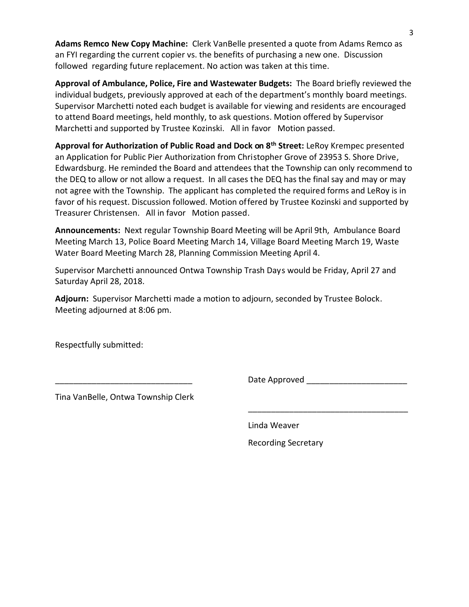**Adams Remco New Copy Machine:** Clerk VanBelle presented a quote from Adams Remco as an FYI regarding the current copier vs. the benefits of purchasing a new one. Discussion followed regarding future replacement. No action was taken at this time.

**Approval of Ambulance, Police, Fire and Wastewater Budgets:** The Board briefly reviewed the individual budgets, previously approved at each of the department's monthly board meetings. Supervisor Marchetti noted each budget is available for viewing and residents are encouraged to attend Board meetings, held monthly, to ask questions. Motion offered by Supervisor Marchetti and supported by Trustee Kozinski. All in favor Motion passed.

**Approval for Authorization of Public Road and Dock on 8th Street:** LeRoy Krempec presented an Application for Public Pier Authorization from Christopher Grove of 23953 S. Shore Drive, Edwardsburg. He reminded the Board and attendees that the Township can only recommend to the DEQ to allow or not allow a request. In all cases the DEQ has the final say and may or may not agree with the Township. The applicant has completed the required forms and LeRoy is in favor of his request. Discussion followed. Motion offered by Trustee Kozinski and supported by Treasurer Christensen. All in favor Motion passed.

**Announcements:** Next regular Township Board Meeting will be April 9th, Ambulance Board Meeting March 13, Police Board Meeting March 14, Village Board Meeting March 19, Waste Water Board Meeting March 28, Planning Commission Meeting April 4.

Supervisor Marchetti announced Ontwa Township Trash Days would be Friday, April 27 and Saturday April 28, 2018.

 $\overline{\phantom{a}}$  , and the contract of the contract of the contract of the contract of the contract of the contract of the contract of the contract of the contract of the contract of the contract of the contract of the contrac

**Adjourn:** Supervisor Marchetti made a motion to adjourn, seconded by Trustee Bolock. Meeting adjourned at 8:06 pm.

Respectfully submitted:

Date Approved **Late Automaker** 

Tina VanBelle, Ontwa Township Clerk

Linda Weaver

Recording Secretary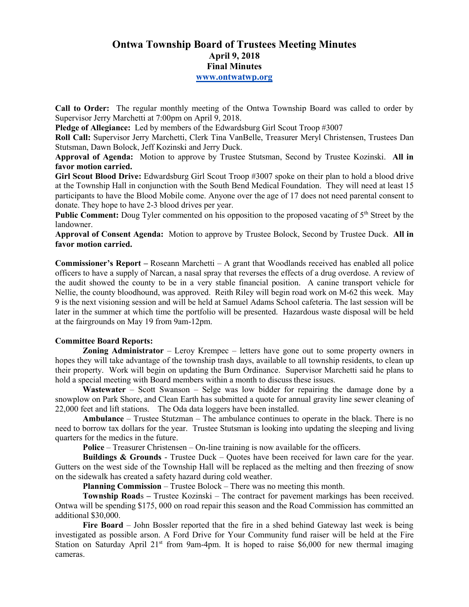# **Ontwa Township Board of Trustees Meeting Minutes April 9, 2018 Final Minutes www.ontwatwp.org**

**Call to Order:** The regular monthly meeting of the Ontwa Township Board was called to order by Supervisor Jerry Marchetti at 7:00pm on April 9, 2018.

**Pledge of Allegiance:** Led by members of the Edwardsburg Girl Scout Troop #3007

**Roll Call:** Supervisor Jerry Marchetti, Clerk Tina VanBelle, Treasurer Meryl Christensen, Trustees Dan Stutsman, Dawn Bolock, Jeff Kozinski and Jerry Duck.

**Approval of Agenda:** Motion to approve by Trustee Stutsman, Second by Trustee Kozinski. **All in favor motion carried.** 

**Girl Scout Blood Drive:** Edwardsburg Girl Scout Troop #3007 spoke on their plan to hold a blood drive at the Township Hall in conjunction with the South Bend Medical Foundation. They will need at least 15 participants to have the Blood Mobile come. Anyone over the age of 17 does not need parental consent to donate. They hope to have 2-3 blood drives per year.

**Public Comment:** Doug Tyler commented on his opposition to the proposed vacating of 5<sup>th</sup> Street by the landowner.

**Approval of Consent Agenda:** Motion to approve by Trustee Bolock, Second by Trustee Duck. **All in favor motion carried.** 

**Commissioner's Report –** Roseann Marchetti – A grant that Woodlands received has enabled all police officers to have a supply of Narcan, a nasal spray that reverses the effects of a drug overdose. A review of the audit showed the county to be in a very stable financial position. A canine transport vehicle for Nellie, the county bloodhound, was approved. Reith Riley will begin road work on M-62 this week. May 9 is the next visioning session and will be held at Samuel Adams School cafeteria. The last session will be later in the summer at which time the portfolio will be presented. Hazardous waste disposal will be held at the fairgrounds on May 19 from 9am-12pm.

### **Committee Board Reports:**

**Zoning Administrator** – Leroy Krempec – letters have gone out to some property owners in hopes they will take advantage of the township trash days, available to all township residents, to clean up their property. Work will begin on updating the Burn Ordinance. Supervisor Marchetti said he plans to hold a special meeting with Board members within a month to discuss these issues.

**Wastewater** – Scott Swanson – Selge was low bidder for repairing the damage done by a snowplow on Park Shore, and Clean Earth has submitted a quote for annual gravity line sewer cleaning of 22,000 feet and lift stations. The Oda data loggers have been installed.

**Ambulance** – Trustee Stutzman – The ambulance continues to operate in the black. There is no need to borrow tax dollars for the year. Trustee Stutsman is looking into updating the sleeping and living quarters for the medics in the future.

**Police** – Treasurer Christensen – On-line training is now available for the officers.

**Buildings & Grounds** - Trustee Duck – Ouotes have been received for lawn care for the year. Gutters on the west side of the Township Hall will be replaced as the melting and then freezing of snow on the sidewalk has created a safety hazard during cold weather.

**Planning Commission** – Trustee Bolock – There was no meeting this month.

**Township Road**s – Trustee Kozinski – The contract for pavement markings has been received. Ontwa will be spending \$175, 000 on road repair this season and the Road Commission has committed an additional \$30,000.

**Fire Board** – John Bossler reported that the fire in a shed behind Gateway last week is being investigated as possible arson. A Ford Drive for Your Community fund raiser will be held at the Fire Station on Saturday April  $21^{st}$  from 9am-4pm. It is hoped to raise \$6,000 for new thermal imaging cameras.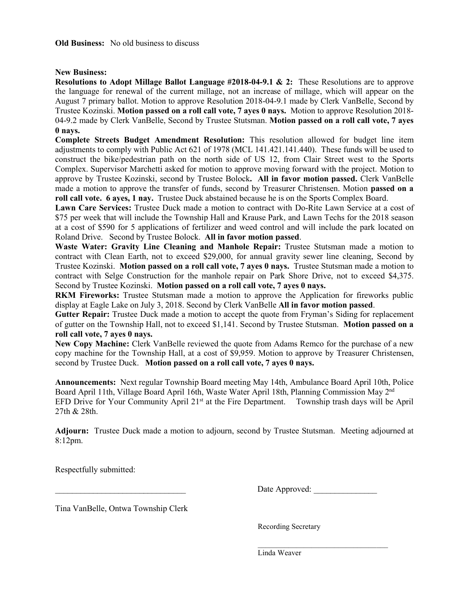### **New Business:**

**Resolutions to Adopt Millage Ballot Language #2018-04-9.1 & 2:** These Resolutions are to approve the language for renewal of the current millage, not an increase of millage, which will appear on the August 7 primary ballot. Motion to approve Resolution 2018-04-9.1 made by Clerk VanBelle, Second by Trustee Kozinski. **Motion passed on a roll call vote, 7 ayes 0 nays.** Motion to approve Resolution 2018- 04-9.2 made by Clerk VanBelle, Second by Trustee Stutsman. **Motion passed on a roll call vote, 7 ayes 0 nays.** 

**Complete Streets Budget Amendment Resolution:** This resolution allowed for budget line item adjustments to comply with Public Act 621 of 1978 (MCL 141.421.141.440). These funds will be used to construct the bike/pedestrian path on the north side of US 12, from Clair Street west to the Sports Complex. Supervisor Marchetti asked for motion to approve moving forward with the project. Motion to approve by Trustee Kozinski, second by Trustee Bolock**. All in favor motion passed.** Clerk VanBelle made a motion to approve the transfer of funds, second by Treasurer Christensen. Motion **passed on a roll call vote. 6 ayes, 1 nay.** Trustee Duck abstained because he is on the Sports Complex Board.

**Lawn Care Services:** Trustee Duck made a motion to contract with Do-Rite Lawn Service at a cost of \$75 per week that will include the Township Hall and Krause Park, and Lawn Techs for the 2018 season at a cost of \$590 for 5 applications of fertilizer and weed control and will include the park located on Roland Drive. Second by Trustee Bolock. **All in favor motion passed**.

**Waste Water: Gravity Line Cleaning and Manhole Repair:** Trustee Stutsman made a motion to contract with Clean Earth, not to exceed \$29,000, for annual gravity sewer line cleaning, Second by Trustee Kozinski. **Motion passed on a roll call vote, 7 ayes 0 nays.** Trustee Stutsman made a motion to contract with Selge Construction for the manhole repair on Park Shore Drive, not to exceed \$4,375. Second by Trustee Kozinski. **Motion passed on a roll call vote, 7 ayes 0 nays.** 

**RKM Fireworks:** Trustee Stutsman made a motion to approve the Application for fireworks public display at Eagle Lake on July 3, 2018. Second by Clerk VanBelle **All in favor motion passed**.

**Gutter Repair:** Trustee Duck made a motion to accept the quote from Fryman's Siding for replacement of gutter on the Township Hall, not to exceed \$1,141. Second by Trustee Stutsman. **Motion passed on a roll call vote, 7 ayes 0 nays.** 

**New Copy Machine:** Clerk VanBelle reviewed the quote from Adams Remco for the purchase of a new copy machine for the Township Hall, at a cost of \$9,959. Motion to approve by Treasurer Christensen, second by Trustee Duck. **Motion passed on a roll call vote, 7 ayes 0 nays.** 

**Announcements:** Next regular Township Board meeting May 14th, Ambulance Board April 10th, Police Board April 11th, Village Board April 16th, Waste Water April 18th, Planning Commission May 2nd EFD Drive for Your Community April  $21<sup>st</sup>$  at the Fire Department. Township trash days will be April 27th & 28th.

**Adjourn:** Trustee Duck made a motion to adjourn, second by Trustee Stutsman. Meeting adjourned at 8:12pm.

Respectfully submitted:

Date Approved:

Tina VanBelle, Ontwa Township Clerk

Recording Secretary

 $\mathcal{L}=\underbrace{\mathcal{L}=\mathcal{L}=\mathcal{L}=\mathcal{L}=\mathcal{L}=\mathcal{L}=\mathcal{L}=\mathcal{L}=\mathcal{L}=\mathcal{L}=\mathcal{L}=\mathcal{L}=\mathcal{L}=\mathcal{L}=\mathcal{L}=\mathcal{L}=\mathcal{L}=\mathcal{L}=\mathcal{L}=\mathcal{L}=\mathcal{L}=\mathcal{L}=\mathcal{L}=\mathcal{L}=\mathcal{L}=\mathcal{L}=\mathcal{L}=\mathcal{L}=\mathcal{L}=\mathcal{L}=\mathcal{L}=\mathcal{L}=\mathcal{L}=\mathcal{L}=\mathcal{L}=\$ Linda Weaver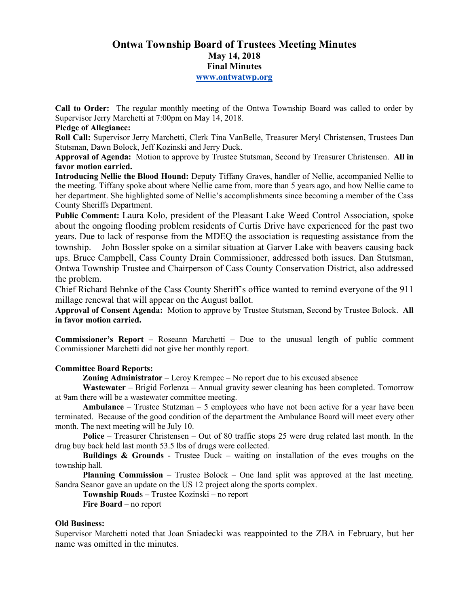# **Ontwa Township Board of Trustees Meeting Minutes May 14, 2018 Final Minutes www.ontwatwp.org**

**Call to Order:** The regular monthly meeting of the Ontwa Township Board was called to order by Supervisor Jerry Marchetti at 7:00pm on May 14, 2018.

### **Pledge of Allegiance:**

**Roll Call:** Supervisor Jerry Marchetti, Clerk Tina VanBelle, Treasurer Meryl Christensen, Trustees Dan Stutsman, Dawn Bolock, Jeff Kozinski and Jerry Duck.

**Approval of Agenda:** Motion to approve by Trustee Stutsman, Second by Treasurer Christensen. **All in favor motion carried.** 

**Introducing Nellie the Blood Hound:** Deputy Tiffany Graves, handler of Nellie, accompanied Nellie to the meeting. Tiffany spoke about where Nellie came from, more than 5 years ago, and how Nellie came to her department. She highlighted some of Nellie's accomplishments since becoming a member of the Cass County Sheriffs Department.

**Public Comment:** Laura Kolo, president of the Pleasant Lake Weed Control Association, spoke about the ongoing flooding problem residents of Curtis Drive have experienced for the past two years. Due to lack of response from the MDEQ the association is requesting assistance from the township. John Bossler spoke on a similar situation at Garver Lake with beavers causing back ups. Bruce Campbell, Cass County Drain Commissioner, addressed both issues. Dan Stutsman, Ontwa Township Trustee and Chairperson of Cass County Conservation District, also addressed the problem.

Chief Richard Behnke of the Cass County Sheriff's office wanted to remind everyone of the 911 millage renewal that will appear on the August ballot.

**Approval of Consent Agenda:** Motion to approve by Trustee Stutsman, Second by Trustee Bolock. **All in favor motion carried.** 

**Commissioner's Report –** Roseann Marchetti – Due to the unusual length of public comment Commissioner Marchetti did not give her monthly report.

### **Committee Board Reports:**

**Zoning Administrator** – Leroy Krempec – No report due to his excused absence

**Wastewater** – Brigid Forlenza – Annual gravity sewer cleaning has been completed. Tomorrow at 9am there will be a wastewater committee meeting.

**Ambulance** – Trustee Stutzman – 5 employees who have not been active for a year have been terminated. Because of the good condition of the department the Ambulance Board will meet every other month. The next meeting will be July 10.

**Police** – Treasurer Christensen – Out of 80 traffic stops 25 were drug related last month. In the drug buy back held last month 53.5 lbs of drugs were collected.

**Buildings & Grounds** - Trustee Duck – waiting on installation of the eves troughs on the township hall.

**Planning Commission** – Trustee Bolock – One land split was approved at the last meeting. Sandra Seanor gave an update on the US 12 project along the sports complex.

**Township Road**s **–** Trustee Kozinski – no report

**Fire Board** – no report

### **Old Business:**

Supervisor Marchetti noted that Joan Sniadecki was reappointed to the ZBA in February, but her name was omitted in the minutes.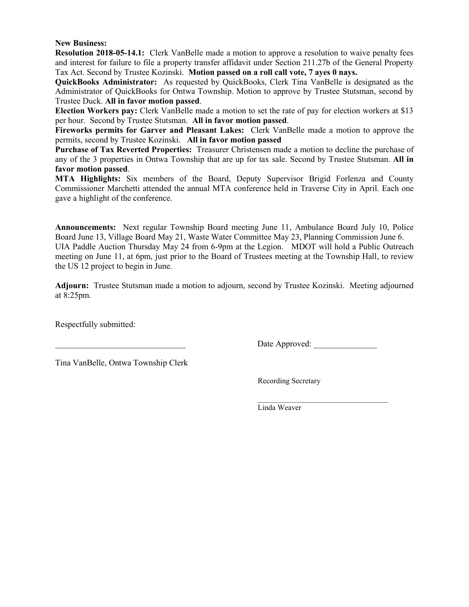### **New Business:**

**Resolution 2018-05-14.1:** Clerk VanBelle made a motion to approve a resolution to waive penalty fees and interest for failure to file a property transfer affidavit under Section 211.27b of the General Property Tax Act. Second by Trustee Kozinski. **Motion passed on a roll call vote, 7 ayes 0 nays.** 

**QuickBooks Administrator:** As requested by QuickBooks, Clerk Tina VanBelle is designated as the Administrator of QuickBooks for Ontwa Township. Motion to approve by Trustee Stutsman, second by Trustee Duck. **All in favor motion passed**.

**Election Workers pay:** Clerk VanBelle made a motion to set the rate of pay for election workers at \$13 per hour. Second by Trustee Stutsman. **All in favor motion passed**.

**Fireworks permits for Garver and Pleasant Lakes:** Clerk VanBelle made a motion to approve the permits, second by Trustee Kozinski. **All in favor motion passed** 

**Purchase of Tax Reverted Properties:** Treasurer Christensen made a motion to decline the purchase of any of the 3 properties in Ontwa Township that are up for tax sale. Second by Trustee Stutsman. **All in favor motion passed**.

**MTA Highlights:** Six members of the Board, Deputy Supervisor Brigid Forlenza and County Commissioner Marchetti attended the annual MTA conference held in Traverse City in April. Each one gave a highlight of the conference.

**Announcements:** Next regular Township Board meeting June 11, Ambulance Board July 10, Police Board June 13, Village Board May 21, Waste Water Committee May 23, Planning Commission June 6. UIA Paddle Auction Thursday May 24 from 6-9pm at the Legion. MDOT will hold a Public Outreach meeting on June 11, at 6pm, just prior to the Board of Trustees meeting at the Township Hall, to review the US 12 project to begin in June.

**Adjourn:** Trustee Stutsman made a motion to adjourn, second by Trustee Kozinski. Meeting adjourned at 8:25pm.

Respectfully submitted:

Date Approved:

Tina VanBelle, Ontwa Township Clerk

Recording Secretary

 $\mathcal{L}=\underbrace{\mathcal{L}=\mathcal{L}=\mathcal{L}=\mathcal{L}=\mathcal{L}=\mathcal{L}=\mathcal{L}=\mathcal{L}=\mathcal{L}=\mathcal{L}=\mathcal{L}=\mathcal{L}=\mathcal{L}=\mathcal{L}=\mathcal{L}=\mathcal{L}=\mathcal{L}=\mathcal{L}=\mathcal{L}=\mathcal{L}=\mathcal{L}=\mathcal{L}=\mathcal{L}=\mathcal{L}=\mathcal{L}=\mathcal{L}=\mathcal{L}=\mathcal{L}=\mathcal{L}=\mathcal{L}=\mathcal{L}=\mathcal{L}=\mathcal{L}=\mathcal{L}=\mathcal{L}=\$ Linda Weaver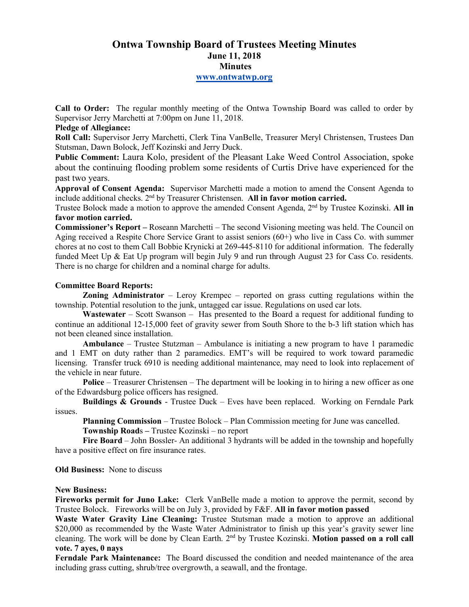# **Ontwa Township Board of Trustees Meeting Minutes June 11, 2018 Minutes www.ontwatwp.org**

**Call to Order:** The regular monthly meeting of the Ontwa Township Board was called to order by Supervisor Jerry Marchetti at 7:00pm on June 11, 2018.

### **Pledge of Allegiance:**

**Roll Call:** Supervisor Jerry Marchetti, Clerk Tina VanBelle, Treasurer Meryl Christensen, Trustees Dan Stutsman, Dawn Bolock, Jeff Kozinski and Jerry Duck.

**Public Comment:** Laura Kolo, president of the Pleasant Lake Weed Control Association, spoke about the continuing flooding problem some residents of Curtis Drive have experienced for the past two years.

**Approval of Consent Agenda:** Supervisor Marchetti made a motion to amend the Consent Agenda to include additional checks. 2nd by Treasurer Christensen. **All in favor motion carried.** 

Trustee Bolock made a motion to approve the amended Consent Agenda, 2nd by Trustee Kozinski. **All in favor motion carried.** 

**Commissioner's Report – Roseann Marchetti – The second Visioning meeting was held. The Council on** Aging received a Respite Chore Service Grant to assist seniors (60+) who live in Cass Co. with summer chores at no cost to them Call Bobbie Krynicki at 269-445-8110 for additional information. The federally funded Meet Up & Eat Up program will begin July 9 and run through August 23 for Cass Co. residents. There is no charge for children and a nominal charge for adults.

### **Committee Board Reports:**

**Zoning Administrator** – Leroy Krempec – reported on grass cutting regulations within the township. Potential resolution to the junk, untagged car issue. Regulations on used car lots.

**Wastewater** – Scott Swanson – Has presented to the Board a request for additional funding to continue an additional 12-15,000 feet of gravity sewer from South Shore to the b-3 lift station which has not been cleaned since installation.

**Ambulance** – Trustee Stutzman – Ambulance is initiating a new program to have 1 paramedic and 1 EMT on duty rather than 2 paramedics. EMT's will be required to work toward paramedic licensing. Transfer truck 6910 is needing additional maintenance, may need to look into replacement of the vehicle in near future.

**Police** – Treasurer Christensen – The department will be looking in to hiring a new officer as one of the Edwardsburg police officers has resigned.

**Buildings & Grounds** - Trustee Duck – Eves have been replaced. Working on Ferndale Park issues.

**Planning Commission** – Trustee Bolock – Plan Commission meeting for June was cancelled. **Township Road**s **–** Trustee Kozinski – no report

**Fire Board** – John Bossler- An additional 3 hydrants will be added in the township and hopefully have a positive effect on fire insurance rates.

**Old Business:** None to discuss

### **New Business:**

**Fireworks permit for Juno Lake:** Clerk VanBelle made a motion to approve the permit, second by Trustee Bolock. Fireworks will be on July 3, provided by F&F. **All in favor motion passed** 

**Waste Water Gravity Line Cleaning:** Trustee Stutsman made a motion to approve an additional \$20,000 as recommended by the Waste Water Administrator to finish up this year's gravity sewer line cleaning. The work will be done by Clean Earth. 2nd by Trustee Kozinski. **Motion passed on a roll call vote. 7 ayes, 0 nays** 

**Ferndale Park Maintenance:** The Board discussed the condition and needed maintenance of the area including grass cutting, shrub/tree overgrowth, a seawall, and the frontage.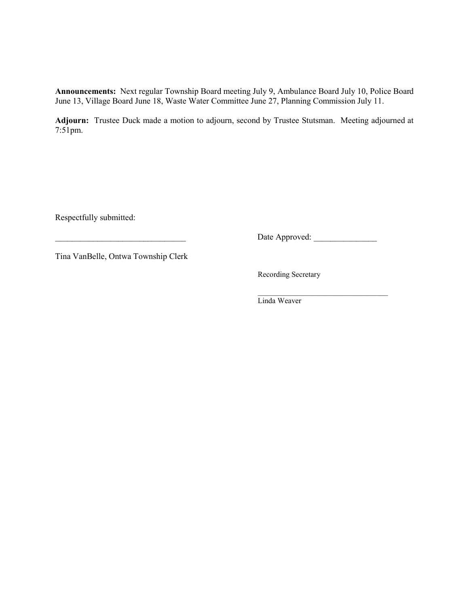**Announcements:** Next regular Township Board meeting July 9, Ambulance Board July 10, Police Board June 13, Village Board June 18, Waste Water Committee June 27, Planning Commission July 11.

**Adjourn:** Trustee Duck made a motion to adjourn, second by Trustee Stutsman. Meeting adjourned at 7:51pm.

Respectfully submitted:

\_\_\_\_\_\_\_\_\_\_\_\_\_\_\_\_\_\_\_\_\_\_\_\_\_\_\_\_\_\_\_ Date Approved: \_\_\_\_\_\_\_\_\_\_\_\_\_\_\_

Tina VanBelle, Ontwa Township Clerk

Recording Secretary

 $\mathcal{L}=\underbrace{\mathcal{L}=\mathcal{L}=\mathcal{L}=\mathcal{L}=\mathcal{L}=\mathcal{L}=\mathcal{L}=\mathcal{L}=\mathcal{L}=\mathcal{L}=\mathcal{L}=\mathcal{L}=\mathcal{L}=\mathcal{L}=\mathcal{L}=\mathcal{L}=\mathcal{L}=\mathcal{L}=\mathcal{L}=\mathcal{L}=\mathcal{L}=\mathcal{L}=\mathcal{L}=\mathcal{L}=\mathcal{L}=\mathcal{L}=\mathcal{L}=\mathcal{L}=\mathcal{L}=\mathcal{L}=\mathcal{L}=\mathcal{L}=\mathcal{L}=\mathcal{L}=\mathcal{L}=\$ Linda Weaver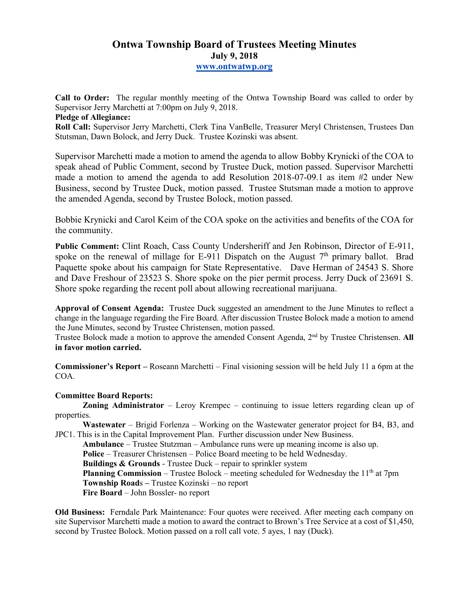# **Ontwa Township Board of Trustees Meeting Minutes July 9, 2018 www.ontwatwp.org**

**Call to Order:** The regular monthly meeting of the Ontwa Township Board was called to order by Supervisor Jerry Marchetti at 7:00pm on July 9, 2018.

## **Pledge of Allegiance:**

**Roll Call:** Supervisor Jerry Marchetti, Clerk Tina VanBelle, Treasurer Meryl Christensen, Trustees Dan Stutsman, Dawn Bolock, and Jerry Duck. Trustee Kozinski was absent.

Supervisor Marchetti made a motion to amend the agenda to allow Bobby Krynicki of the COA to speak ahead of Public Comment, second by Trustee Duck, motion passed. Supervisor Marchetti made a motion to amend the agenda to add Resolution 2018-07-09.1 as item #2 under New Business, second by Trustee Duck, motion passed. Trustee Stutsman made a motion to approve the amended Agenda, second by Trustee Bolock, motion passed.

Bobbie Krynicki and Carol Keim of the COA spoke on the activities and benefits of the COA for the community.

**Public Comment:** Clint Roach, Cass County Undersheriff and Jen Robinson, Director of E-911, spoke on the renewal of millage for E-911 Dispatch on the August  $7<sup>th</sup>$  primary ballot. Brad Paquette spoke about his campaign for State Representative. Dave Herman of 24543 S. Shore and Dave Freshour of 23523 S. Shore spoke on the pier permit process. Jerry Duck of 23691 S. Shore spoke regarding the recent poll about allowing recreational marijuana.

**Approval of Consent Agenda:** Trustee Duck suggested an amendment to the June Minutes to reflect a change in the language regarding the Fire Board. After discussion Trustee Bolock made a motion to amend the June Minutes, second by Trustee Christensen, motion passed.

Trustee Bolock made a motion to approve the amended Consent Agenda, 2nd by Trustee Christensen. **All in favor motion carried.** 

**Commissioner's Report –** Roseann Marchetti – Final visioning session will be held July 11 a 6pm at the COA.

## **Committee Board Reports:**

**Zoning Administrator** – Leroy Krempec – continuing to issue letters regarding clean up of properties.

**Wastewater** – Brigid Forlenza – Working on the Wastewater generator project for B4, B3, and JPC1. This is in the Capital Improvement Plan. Further discussion under New Business.

**Ambulance** – Trustee Stutzman – Ambulance runs were up meaning income is also up.

**Police** – Treasurer Christensen – Police Board meeting to be held Wednesday.

**Buildings & Grounds** - Trustee Duck – repair to sprinkler system

**Planning Commission** – Trustee Bolock – meeting scheduled for Wednesday the  $11<sup>th</sup>$  at 7pm **Township Road**s **–** Trustee Kozinski – no report

**Fire Board** – John Bossler- no report

**Old Business:** Ferndale Park Maintenance: Four quotes were received. After meeting each company on site Supervisor Marchetti made a motion to award the contract to Brown's Tree Service at a cost of \$1,450, second by Trustee Bolock. Motion passed on a roll call vote. 5 ayes, 1 nay (Duck).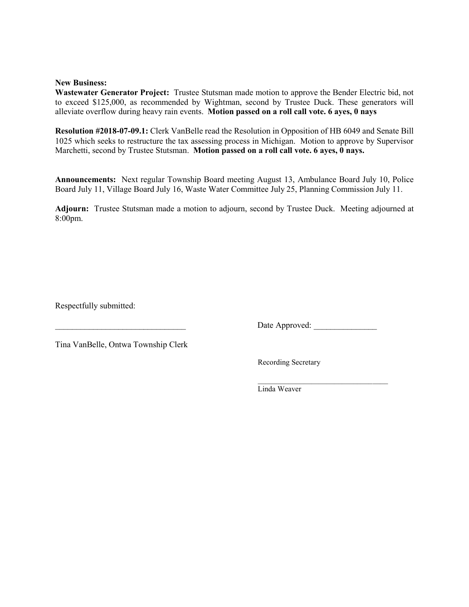#### **New Business:**

**Wastewater Generator Project:** Trustee Stutsman made motion to approve the Bender Electric bid, not to exceed \$125,000, as recommended by Wightman, second by Trustee Duck. These generators will alleviate overflow during heavy rain events. **Motion passed on a roll call vote. 6 ayes, 0 nays** 

**Resolution #2018-07-09.1:** Clerk VanBelle read the Resolution in Opposition of HB 6049 and Senate Bill 1025 which seeks to restructure the tax assessing process in Michigan. Motion to approve by Supervisor Marchetti, second by Trustee Stutsman. **Motion passed on a roll call vote. 6 ayes, 0 nays.** 

**Announcements:** Next regular Township Board meeting August 13, Ambulance Board July 10, Police Board July 11, Village Board July 16, Waste Water Committee July 25, Planning Commission July 11.

**Adjourn:** Trustee Stutsman made a motion to adjourn, second by Trustee Duck. Meeting adjourned at 8:00pm.

Respectfully submitted:

Date Approved:

Tina VanBelle, Ontwa Township Clerk

Recording Secretary

 $\mathcal{L}=\{\mathcal{L}^{\mathcal{L}}\}_{\mathcal{L}}$  , where  $\mathcal{L}^{\mathcal{L}}$  , where  $\mathcal{L}^{\mathcal{L}}$ Linda Weaver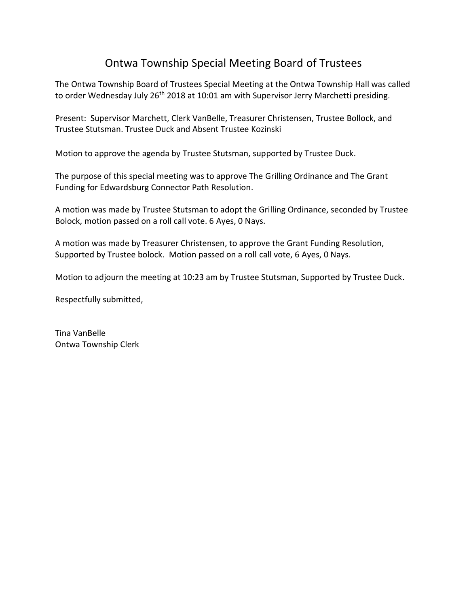# Ontwa Township Special Meeting Board of Trustees

The Ontwa Township Board of Trustees Special Meeting at the Ontwa Township Hall was called to order Wednesday July 26<sup>th</sup> 2018 at 10:01 am with Supervisor Jerry Marchetti presiding.

Present: Supervisor Marchett, Clerk VanBelle, Treasurer Christensen, Trustee Bollock, and Trustee Stutsman. Trustee Duck and Absent Trustee Kozinski

Motion to approve the agenda by Trustee Stutsman, supported by Trustee Duck.

The purpose of this special meeting was to approve The Grilling Ordinance and The Grant Funding for Edwardsburg Connector Path Resolution.

A motion was made by Trustee Stutsman to adopt the Grilling Ordinance, seconded by Trustee Bolock, motion passed on a roll call vote. 6 Ayes, 0 Nays.

A motion was made by Treasurer Christensen, to approve the Grant Funding Resolution, Supported by Trustee bolock. Motion passed on a roll call vote, 6 Ayes, 0 Nays.

Motion to adjourn the meeting at 10:23 am by Trustee Stutsman, Supported by Trustee Duck.

Respectfully submitted,

Tina VanBelle Ontwa Township Clerk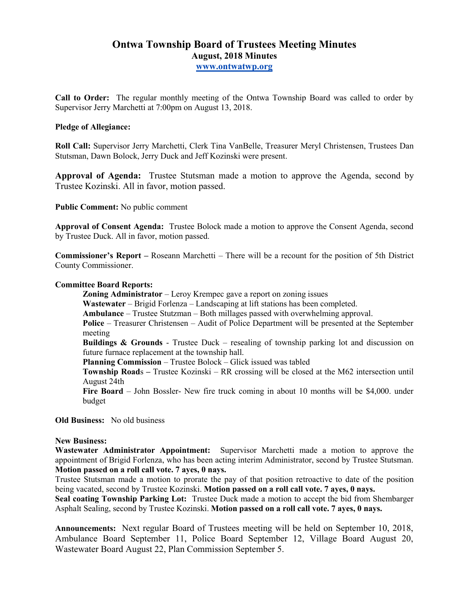# **Ontwa Township Board of Trustees Meeting Minutes August, 2018 Minutes www.ontwatwp.org**

**Call to Order:** The regular monthly meeting of the Ontwa Township Board was called to order by Supervisor Jerry Marchetti at 7:00pm on August 13, 2018.

### **Pledge of Allegiance:**

**Roll Call:** Supervisor Jerry Marchetti, Clerk Tina VanBelle, Treasurer Meryl Christensen, Trustees Dan Stutsman, Dawn Bolock, Jerry Duck and Jeff Kozinski were present.

**Approval of Agenda:** Trustee Stutsman made a motion to approve the Agenda, second by Trustee Kozinski. All in favor, motion passed.

**Public Comment:** No public comment

**Approval of Consent Agenda:** Trustee Bolock made a motion to approve the Consent Agenda, second by Trustee Duck. All in favor, motion passed.

**Commissioner's Report –** Roseann Marchetti – There will be a recount for the position of 5th District County Commissioner.

### **Committee Board Reports:**

**Zoning Administrator** – Leroy Krempec gave a report on zoning issues

**Wastewater** – Brigid Forlenza – Landscaping at lift stations has been completed.

**Ambulance** – Trustee Stutzman – Both millages passed with overwhelming approval.

**Police** – Treasurer Christensen – Audit of Police Department will be presented at the September meeting

**Buildings & Grounds** - Trustee Duck – resealing of township parking lot and discussion on future furnace replacement at the township hall.

**Planning Commission** – Trustee Bolock – Glick issued was tabled

**Township Road**s **–** Trustee Kozinski – RR crossing will be closed at the M62 intersection until August 24th

**Fire Board** – John Bossler- New fire truck coming in about 10 months will be \$4,000. under budget

**Old Business:** No old business

### **New Business:**

**Wastewater Administrator Appointment:** Supervisor Marchetti made a motion to approve the appointment of Brigid Forlenza, who has been acting interim Administrator, second by Trustee Stutsman. **Motion passed on a roll call vote. 7 ayes, 0 nays.** 

Trustee Stutsman made a motion to prorate the pay of that position retroactive to date of the position being vacated, second by Trustee Kozinski. **Motion passed on a roll call vote. 7 ayes, 0 nays.** 

**Seal coating Township Parking Lot:** Trustee Duck made a motion to accept the bid from Shembarger Asphalt Sealing, second by Trustee Kozinski. **Motion passed on a roll call vote. 7 ayes, 0 nays.** 

**Announcements:** Next regular Board of Trustees meeting will be held on September 10, 2018, Ambulance Board September 11, Police Board September 12, Village Board August 20, Wastewater Board August 22, Plan Commission September 5.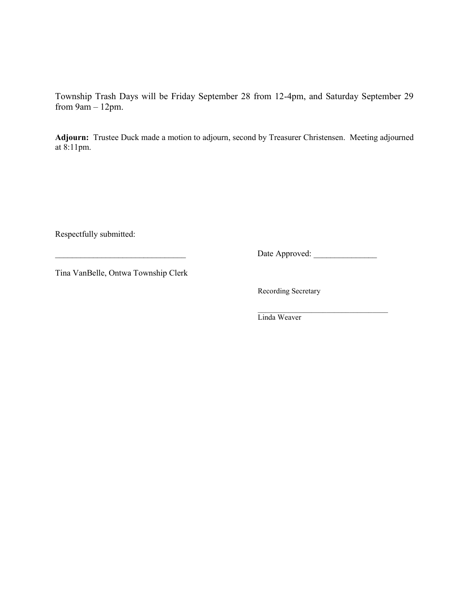Township Trash Days will be Friday September 28 from 12-4pm, and Saturday September 29 from  $9am - 12pm$ .

**Adjourn:** Trustee Duck made a motion to adjourn, second by Treasurer Christensen. Meeting adjourned at 8:11pm.

Respectfully submitted:

\_\_\_\_\_\_\_\_\_\_\_\_\_\_\_\_\_\_\_\_\_\_\_\_\_\_\_\_\_\_\_ Date Approved: \_\_\_\_\_\_\_\_\_\_\_\_\_\_\_

Tina VanBelle, Ontwa Township Clerk

Recording Secretary

 $\overline{\phantom{a}}$  ,  $\overline{\phantom{a}}$  ,  $\overline{\phantom{a}}$  ,  $\overline{\phantom{a}}$  ,  $\overline{\phantom{a}}$  ,  $\overline{\phantom{a}}$  ,  $\overline{\phantom{a}}$  ,  $\overline{\phantom{a}}$  ,  $\overline{\phantom{a}}$  ,  $\overline{\phantom{a}}$  ,  $\overline{\phantom{a}}$  ,  $\overline{\phantom{a}}$  ,  $\overline{\phantom{a}}$  ,  $\overline{\phantom{a}}$  ,  $\overline{\phantom{a}}$  ,  $\overline{\phantom{a}}$ Linda Weaver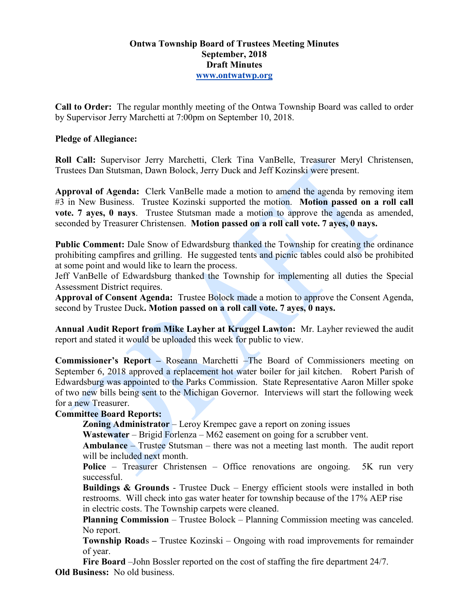# **Ontwa Township Board of Trustees Meeting Minutes September, 2018 Draft Minutes www.ontwatwp.org**

**Call to Order:** The regular monthly meeting of the Ontwa Township Board was called to order by Supervisor Jerry Marchetti at 7:00pm on September 10, 2018.

# **Pledge of Allegiance:**

**Roll Call:** Supervisor Jerry Marchetti, Clerk Tina VanBelle, Treasurer Meryl Christensen, Trustees Dan Stutsman, Dawn Bolock, Jerry Duck and Jeff Kozinski were present.

**Approval of Agenda:** Clerk VanBelle made a motion to amend the agenda by removing item #3 in New Business. Trustee Kozinski supported the motion. **Motion passed on a roll call vote. 7 ayes, 0 nays**. Trustee Stutsman made a motion to approve the agenda as amended, seconded by Treasurer Christensen. **Motion passed on a roll call vote. 7 ayes, 0 nays.** 

**Public Comment:** Dale Snow of Edwardsburg thanked the Township for creating the ordinance prohibiting campfires and grilling. He suggested tents and picnic tables could also be prohibited at some point and would like to learn the process.

Jeff VanBelle of Edwardsburg thanked the Township for implementing all duties the Special Assessment District requires.

**Approval of Consent Agenda:** Trustee Bolock made a motion to approve the Consent Agenda, second by Trustee Duck**. Motion passed on a roll call vote. 7 ayes, 0 nays.** 

**Annual Audit Report from Mike Layher at Kruggel Lawton:** Mr. Layher reviewed the audit report and stated it would be uploaded this week for public to view.

**Commissioner's Report –** Roseann Marchetti –The Board of Commissioners meeting on September 6, 2018 approved a replacement hot water boiler for jail kitchen. Robert Parish of Edwardsburg was appointed to the Parks Commission. State Representative Aaron Miller spoke of two new bills being sent to the Michigan Governor. Interviews will start the following week for a new Treasurer.

# **Committee Board Reports:**

**Zoning Administrator** – Leroy Krempec gave a report on zoning issues

**Wastewater** – Brigid Forlenza – M62 easement on going for a scrubber vent.

**Ambulance** – Trustee Stutsman – there was not a meeting last month. The audit report will be included next month.

Police – Treasurer Christensen – Office renovations are ongoing. 5K run very successful.

**Buildings & Grounds** - Trustee Duck – Energy efficient stools were installed in both restrooms. Will check into gas water heater for township because of the 17% AEP rise in electric costs. The Township carpets were cleaned.

**Planning Commission** – Trustee Bolock – Planning Commission meeting was canceled. No report.

**Township Road**s **–** Trustee Kozinski – Ongoing with road improvements for remainder of year.

**Fire Board** –John Bossler reported on the cost of staffing the fire department 24/7. **Old Business:** No old business.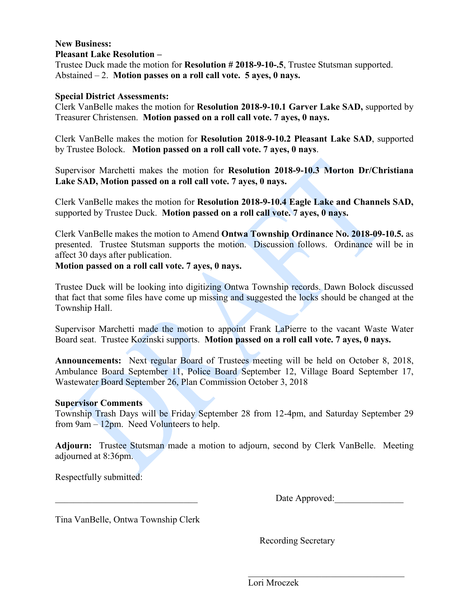# **New Business:**

# **Pleasant Lake Resolution –**

Trustee Duck made the motion for **Resolution # 2018-9-10-.5**, Trustee Stutsman supported. Abstained – 2. **Motion passes on a roll call vote. 5 ayes, 0 nays.**

## **Special District Assessments:**

Clerk VanBelle makes the motion for **Resolution 2018-9-10.1 Garver Lake SAD,** supported by Treasurer Christensen. **Motion passed on a roll call vote. 7 ayes, 0 nays.** 

Clerk VanBelle makes the motion for **Resolution 2018-9-10.2 Pleasant Lake SAD**, supported by Trustee Bolock. **Motion passed on a roll call vote. 7 ayes, 0 nays**.

Supervisor Marchetti makes the motion for **Resolution 2018-9-10.3 Morton Dr/Christiana Lake SAD, Motion passed on a roll call vote. 7 ayes, 0 nays.** 

Clerk VanBelle makes the motion for **Resolution 2018-9-10.4 Eagle Lake and Channels SAD,** supported by Trustee Duck. **Motion passed on a roll call vote. 7 ayes, 0 nays.**

Clerk VanBelle makes the motion to Amend **Ontwa Township Ordinance No. 2018-09-10.5.** as presented. Trustee Stutsman supports the motion. Discussion follows. Ordinance will be in affect 30 days after publication.

# **Motion passed on a roll call vote. 7 ayes, 0 nays.**

Trustee Duck will be looking into digitizing Ontwa Township records. Dawn Bolock discussed that fact that some files have come up missing and suggested the locks should be changed at the Township Hall.

Supervisor Marchetti made the motion to appoint Frank LaPierre to the vacant Waste Water Board seat. Trustee Kozinski supports. **Motion passed on a roll call vote. 7 ayes, 0 nays.** 

**Announcements:** Next regular Board of Trustees meeting will be held on October 8, 2018, Ambulance Board September 11, Police Board September 12, Village Board September 17, Wastewater Board September 26, Plan Commission October 3, 2018

### **Supervisor Comments**

Township Trash Days will be Friday September 28 from 12-4pm, and Saturday September 29 from 9am – 12pm. Need Volunteers to help.

**Adjourn:** Trustee Stutsman made a motion to adjourn, second by Clerk VanBelle. Meeting adjourned at 8:36pm.

Respectfully submitted:

Date Approved:

 $\overline{\phantom{a}}$  , and the set of the set of the set of the set of the set of the set of the set of the set of the set of the set of the set of the set of the set of the set of the set of the set of the set of the set of the s

Tina VanBelle, Ontwa Township Clerk

Recording Secretary

Lori Mroczek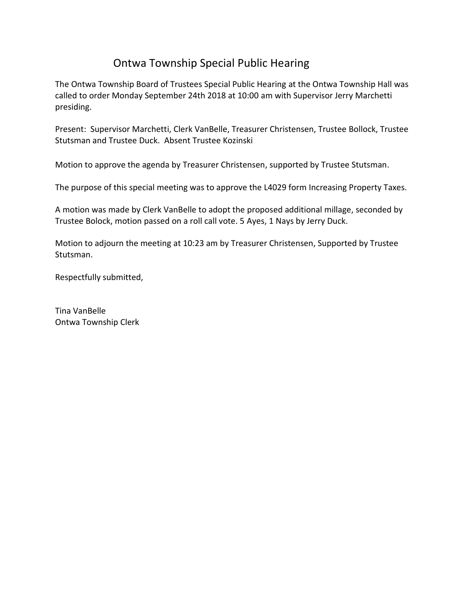# Ontwa Township Special Public Hearing

The Ontwa Township Board of Trustees Special Public Hearing at the Ontwa Township Hall was called to order Monday September 24th 2018 at 10:00 am with Supervisor Jerry Marchetti presiding.

Present: Supervisor Marchetti, Clerk VanBelle, Treasurer Christensen, Trustee Bollock, Trustee Stutsman and Trustee Duck. Absent Trustee Kozinski

Motion to approve the agenda by Treasurer Christensen, supported by Trustee Stutsman.

The purpose of this special meeting was to approve the L4029 form Increasing Property Taxes.

A motion was made by Clerk VanBelle to adopt the proposed additional millage, seconded by Trustee Bolock, motion passed on a roll call vote. 5 Ayes, 1 Nays by Jerry Duck.

Motion to adjourn the meeting at 10:23 am by Treasurer Christensen, Supported by Trustee Stutsman.

Respectfully submitted,

Tina VanBelle Ontwa Township Clerk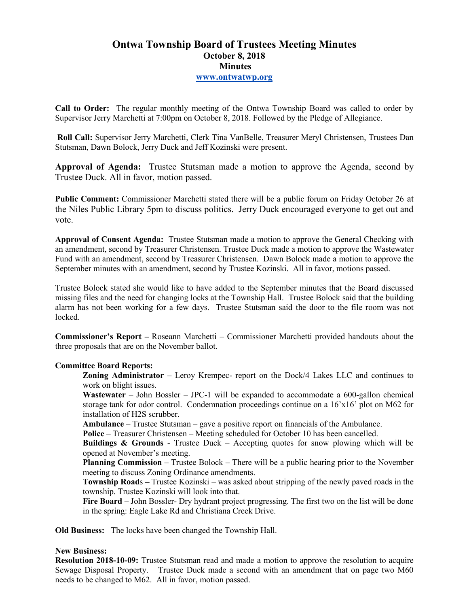# **Ontwa Township Board of Trustees Meeting Minutes October 8, 2018 Minutes www.ontwatwp.org**

**Call to Order:** The regular monthly meeting of the Ontwa Township Board was called to order by Supervisor Jerry Marchetti at 7:00pm on October 8, 2018. Followed by the Pledge of Allegiance.

 **Roll Call:** Supervisor Jerry Marchetti, Clerk Tina VanBelle, Treasurer Meryl Christensen, Trustees Dan Stutsman, Dawn Bolock, Jerry Duck and Jeff Kozinski were present.

**Approval of Agenda:** Trustee Stutsman made a motion to approve the Agenda, second by Trustee Duck. All in favor, motion passed.

**Public Comment:** Commissioner Marchetti stated there will be a public forum on Friday October 26 at the Niles Public Library 5pm to discuss politics. Jerry Duck encouraged everyone to get out and vote.

**Approval of Consent Agenda:** Trustee Stutsman made a motion to approve the General Checking with an amendment, second by Treasurer Christensen. Trustee Duck made a motion to approve the Wastewater Fund with an amendment, second by Treasurer Christensen. Dawn Bolock made a motion to approve the September minutes with an amendment, second by Trustee Kozinski. All in favor, motions passed.

Trustee Bolock stated she would like to have added to the September minutes that the Board discussed missing files and the need for changing locks at the Township Hall. Trustee Bolock said that the building alarm has not been working for a few days. Trustee Stutsman said the door to the file room was not locked.

**Commissioner's Report –** Roseann Marchetti – Commissioner Marchetti provided handouts about the three proposals that are on the November ballot.

### **Committee Board Reports:**

**Zoning Administrator** – Leroy Krempec- report on the Dock/4 Lakes LLC and continues to work on blight issues.

**Wastewater** – John Bossler – JPC-1 will be expanded to accommodate a 600-gallon chemical storage tank for odor control. Condemnation proceedings continue on a 16'x16' plot on M62 for installation of H2S scrubber.

**Ambulance** – Trustee Stutsman – gave a positive report on financials of the Ambulance.

**Police** – Treasurer Christensen – Meeting scheduled for October 10 has been cancelled.

**Buildings & Grounds** - Trustee Duck – Accepting quotes for snow plowing which will be opened at November's meeting.

**Planning Commission** – Trustee Bolock – There will be a public hearing prior to the November meeting to discuss Zoning Ordinance amendments.

**Township Road**s **–** Trustee Kozinski – was asked about stripping of the newly paved roads in the township. Trustee Kozinski will look into that.

**Fire Board** – John Bossler- Dry hydrant project progressing. The first two on the list will be done in the spring: Eagle Lake Rd and Christiana Creek Drive.

**Old Business:** The locks have been changed the Township Hall.

### **New Business:**

**Resolution 2018-10-09:** Trustee Stutsman read and made a motion to approve the resolution to acquire Sewage Disposal Property. Trustee Duck made a second with an amendment that on page two M60 needs to be changed to M62. All in favor, motion passed.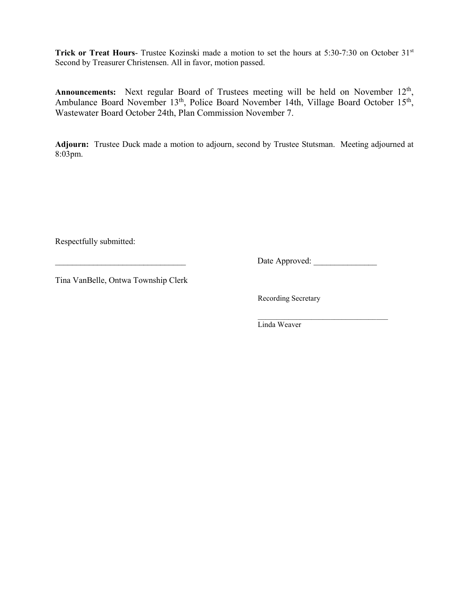**Trick or Treat Hours-** Trustee Kozinski made a motion to set the hours at 5:30-7:30 on October 31<sup>st</sup> Second by Treasurer Christensen. All in favor, motion passed.

Announcements: Next regular Board of Trustees meeting will be held on November 12<sup>th</sup>, Ambulance Board November 13<sup>th</sup>, Police Board November 14th, Village Board October 15<sup>th</sup>, Wastewater Board October 24th, Plan Commission November 7.

**Adjourn:** Trustee Duck made a motion to adjourn, second by Trustee Stutsman. Meeting adjourned at 8:03pm.

Respectfully submitted:

\_\_\_\_\_\_\_\_\_\_\_\_\_\_\_\_\_\_\_\_\_\_\_\_\_\_\_\_\_\_\_ Date Approved: \_\_\_\_\_\_\_\_\_\_\_\_\_\_\_

Tina VanBelle, Ontwa Township Clerk

Recording Secretary

 $\mathcal{L}=\underbrace{\mathcal{L}=\mathcal{L}=\mathcal{L}=\mathcal{L}=\mathcal{L}=\mathcal{L}=\mathcal{L}=\mathcal{L}=\mathcal{L}=\mathcal{L}=\mathcal{L}=\mathcal{L}=\mathcal{L}=\mathcal{L}=\mathcal{L}=\mathcal{L}=\mathcal{L}=\mathcal{L}=\mathcal{L}=\mathcal{L}=\mathcal{L}=\mathcal{L}=\mathcal{L}=\mathcal{L}=\mathcal{L}=\mathcal{L}=\mathcal{L}=\mathcal{L}=\mathcal{L}=\mathcal{L}=\mathcal{L}=\mathcal{L}=\mathcal{L}=\mathcal{L}=\mathcal{L}=\$ Linda Weaver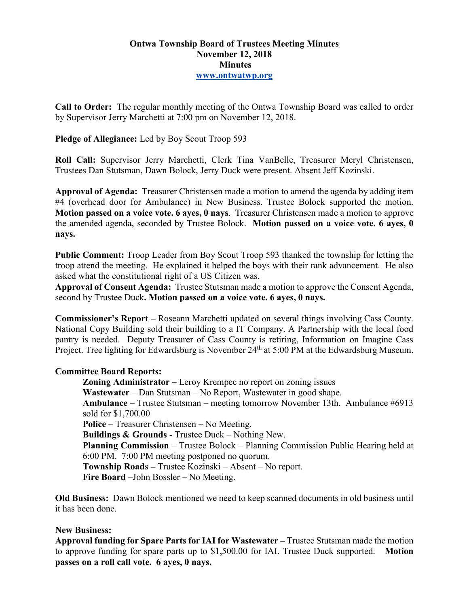# **Ontwa Township Board of Trustees Meeting Minutes November 12, 2018 Minutes www.ontwatwp.org**

**Call to Order:** The regular monthly meeting of the Ontwa Township Board was called to order by Supervisor Jerry Marchetti at 7:00 pm on November 12, 2018.

# **Pledge of Allegiance:** Led by Boy Scout Troop 593

**Roll Call:** Supervisor Jerry Marchetti, Clerk Tina VanBelle, Treasurer Meryl Christensen, Trustees Dan Stutsman, Dawn Bolock, Jerry Duck were present. Absent Jeff Kozinski.

**Approval of Agenda:** Treasurer Christensen made a motion to amend the agenda by adding item #4 (overhead door for Ambulance) in New Business. Trustee Bolock supported the motion. **Motion passed on a voice vote. 6 ayes, 0 nays**. Treasurer Christensen made a motion to approve the amended agenda, seconded by Trustee Bolock. **Motion passed on a voice vote. 6 ayes, 0 nays.** 

**Public Comment:** Troop Leader from Boy Scout Troop 593 thanked the township for letting the troop attend the meeting. He explained it helped the boys with their rank advancement. He also asked what the constitutional right of a US Citizen was.

**Approval of Consent Agenda:** Trustee Stutsman made a motion to approve the Consent Agenda, second by Trustee Duck**. Motion passed on a voice vote. 6 ayes, 0 nays.** 

**Commissioner's Report –** Roseann Marchetti updated on several things involving Cass County. National Copy Building sold their building to a IT Company. A Partnership with the local food pantry is needed. Deputy Treasurer of Cass County is retiring, Information on Imagine Cass Project. Tree lighting for Edwardsburg is November 24<sup>th</sup> at 5:00 PM at the Edwardsburg Museum.

## **Committee Board Reports:**

**Zoning Administrator** – Leroy Krempec no report on zoning issues **Wastewater** – Dan Stutsman – No Report, Wastewater in good shape. **Ambulance** – Trustee Stutsman – meeting tomorrow November 13th. Ambulance #6913 sold for \$1,700.00 **Police** – Treasurer Christensen – No Meeting. **Buildings & Grounds** - Trustee Duck – Nothing New. **Planning Commission** – Trustee Bolock – Planning Commission Public Hearing held at 6:00 PM. 7:00 PM meeting postponed no quorum. **Township Road**s **–** Trustee Kozinski – Absent – No report. **Fire Board** –John Bossler – No Meeting.

**Old Business:** Dawn Bolock mentioned we need to keep scanned documents in old business until it has been done.

## **New Business:**

**Approval funding for Spare Parts for IAI for Wastewater –** Trustee Stutsman made the motion to approve funding for spare parts up to \$1,500.00 for IAI. Trustee Duck supported. **Motion passes on a roll call vote. 6 ayes, 0 nays.**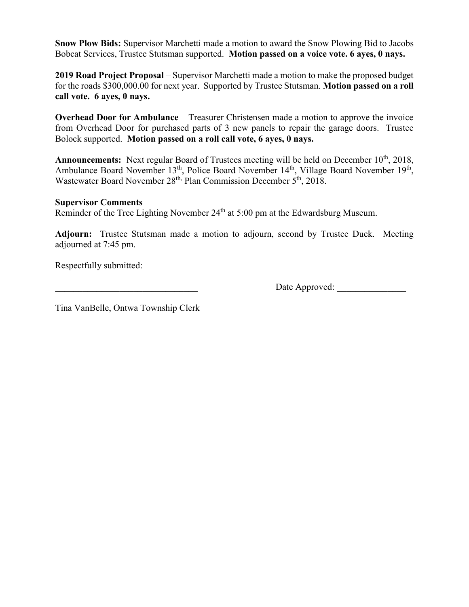**Snow Plow Bids:** Supervisor Marchetti made a motion to award the Snow Plowing Bid to Jacobs Bobcat Services, Trustee Stutsman supported. **Motion passed on a voice vote. 6 ayes, 0 nays.** 

**2019 Road Project Proposal** – Supervisor Marchetti made a motion to make the proposed budget for the roads \$300,000.00 for next year. Supported by Trustee Stutsman. **Motion passed on a roll call vote. 6 ayes, 0 nays.** 

**Overhead Door for Ambulance** – Treasurer Christensen made a motion to approve the invoice from Overhead Door for purchased parts of 3 new panels to repair the garage doors. Trustee Bolock supported. **Motion passed on a roll call vote, 6 ayes, 0 nays.** 

Announcements: Next regular Board of Trustees meeting will be held on December 10<sup>th</sup>, 2018, Ambulance Board November 13<sup>th</sup>, Police Board November 14<sup>th</sup>, Village Board November 19<sup>th</sup>, Wastewater Board November 28<sup>th, Plan Commission December 5<sup>th</sup>, 2018.</sup>

## **Supervisor Comments**

Reminder of the Tree Lighting November 24<sup>th</sup> at 5:00 pm at the Edwardsburg Museum.

**Adjourn:** Trustee Stutsman made a motion to adjourn, second by Trustee Duck. Meeting adjourned at 7:45 pm.

Respectfully submitted:

Date Approved:

Tina VanBelle, Ontwa Township Clerk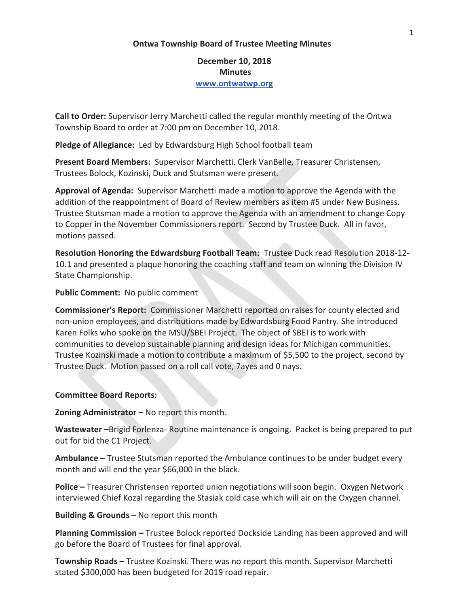### **Ontwa Township Board of Trustee Meeting Minutes**

**December 10, 2018 Minutes www.ontwatwp.org**

**Call to Order:** Supervisor Jerry Marchetti called the regular monthly meeting of the Ontwa Township Board to order at 7:00 pm on December 10, 2018.

**Pledge of Allegiance:** Led by Edwardsburg High School football team

**Present Board Members:** Supervisor Marchetti, Clerk VanBelle, Treasurer Christensen, Trustees Bolock, Kozinski, Duck and Stutsman were present.

**Approval of Agenda:** Supervisor Marchetti made a motion to approve the Agenda with the addition of the reappointment of Board of Review members as item #5 under New Business. Trustee Stutsman made a motion to approve the Agenda with an amendment to change Copy to Copper in the November Commissioners report. Second by Trustee Duck. All in favor, motions passed.

**Resolution Honoring the Edwardsburg Football Team:** Trustee Duck read Resolution 2018-12- 10.1 and presented a plaque honoring the coaching staff and team on winning the Division IV State Championship.

## **Public Comment:** No public comment

**Commissioner's Report:** Commissioner Marchetti reported on raises for county elected and non-union employees, and distributions made by Edwardsburg Food Pantry. She introduced Karen Folks who spoke on the MSU/SBEI Project. The object of SBEI is to work with communities to develop sustainable planning and design ideas for Michigan communities. Trustee Kozinski made a motion to contribute a maximum of \$5,500 to the project, second by Trustee Duck. Motion passed on a roll call vote, 7ayes and 0 nays.

### **Committee Board Reports:**

**Zoning Administrator –** No report this month.

**Wastewater –**Brigid Forlenza- Routine maintenance is ongoing. Packet is being prepared to put out for bid the C1 Project.

**Ambulance –** Trustee Stutsman reported the Ambulance continues to be under budget every month and will end the year \$66,000 in the black.

**Police –** Treasurer Christensen reported union negotiations will soon begin. Oxygen Network interviewed Chief Kozal regarding the Stasiak cold case which will air on the Oxygen channel.

### **Building & Grounds** – No report this month

**Planning Commission –** Trustee Bolock reported Dockside Landing has been approved and will go before the Board of Trustees for final approval.

**Township Roads –** Trustee Kozinski. There was no report this month. Supervisor Marchetti stated \$300,000 has been budgeted for 2019 road repair.